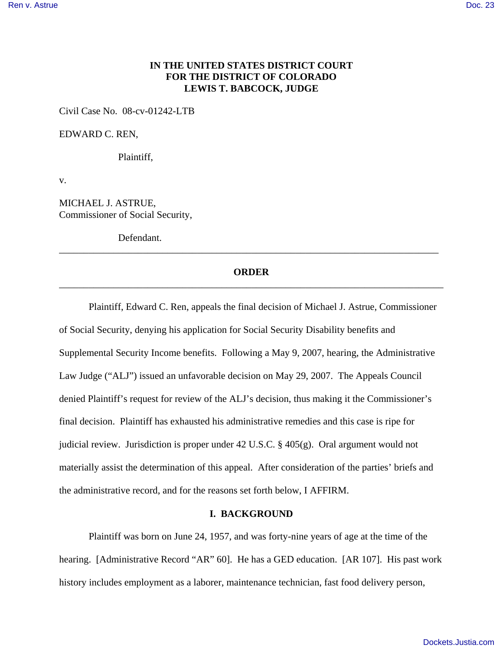# **IN THE UNITED STATES DISTRICT COURT FOR THE DISTRICT OF COLORADO LEWIS T. BABCOCK, JUDGE**

Civil Case No. 08-cv-01242-LTB

EDWARD C. REN,

Plaintiff,

v.

MICHAEL J. ASTRUE, Commissioner of Social Security,

Defendant.

# **ORDER** \_\_\_\_\_\_\_\_\_\_\_\_\_\_\_\_\_\_\_\_\_\_\_\_\_\_\_\_\_\_\_\_\_\_\_\_\_\_\_\_\_\_\_\_\_\_\_\_\_\_\_\_\_\_\_\_\_\_\_\_\_\_\_\_\_\_\_\_\_\_\_\_\_\_\_\_\_\_

\_\_\_\_\_\_\_\_\_\_\_\_\_\_\_\_\_\_\_\_\_\_\_\_\_\_\_\_\_\_\_\_\_\_\_\_\_\_\_\_\_\_\_\_\_\_\_\_\_\_\_\_\_\_\_\_\_\_\_\_\_\_\_\_\_\_\_\_\_\_\_\_\_\_\_\_\_

Plaintiff, Edward C. Ren, appeals the final decision of Michael J. Astrue, Commissioner of Social Security, denying his application for Social Security Disability benefits and Supplemental Security Income benefits. Following a May 9, 2007, hearing, the Administrative Law Judge ("ALJ") issued an unfavorable decision on May 29, 2007. The Appeals Council denied Plaintiff's request for review of the ALJ's decision, thus making it the Commissioner's final decision. Plaintiff has exhausted his administrative remedies and this case is ripe for judicial review. Jurisdiction is proper under 42 U.S.C. § 405(g). Oral argument would not materially assist the determination of this appeal. After consideration of the parties' briefs and the administrative record, and for the reasons set forth below, I AFFIRM.

## **I. BACKGROUND**

 Plaintiff was born on June 24, 1957, and was forty-nine years of age at the time of the hearing. [Administrative Record "AR" 60]. He has a GED education. [AR 107]. His past work history includes employment as a laborer, maintenance technician, fast food delivery person,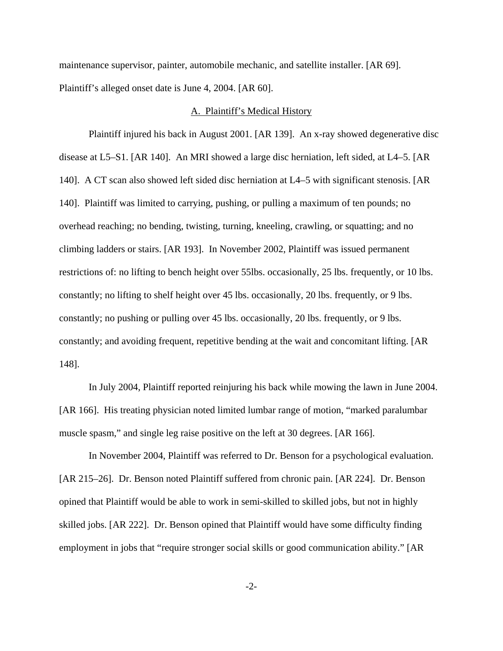maintenance supervisor, painter, automobile mechanic, and satellite installer. [AR 69]. Plaintiff's alleged onset date is June 4, 2004. [AR 60].

#### A. Plaintiff's Medical History

Plaintiff injured his back in August 2001. [AR 139]. An x-ray showed degenerative disc disease at L5–S1. [AR 140]. An MRI showed a large disc herniation, left sided, at L4–5. [AR 140]. A CT scan also showed left sided disc herniation at L4–5 with significant stenosis. [AR 140]. Plaintiff was limited to carrying, pushing, or pulling a maximum of ten pounds; no overhead reaching; no bending, twisting, turning, kneeling, crawling, or squatting; and no climbing ladders or stairs. [AR 193]. In November 2002, Plaintiff was issued permanent restrictions of: no lifting to bench height over 55lbs. occasionally, 25 lbs. frequently, or 10 lbs. constantly; no lifting to shelf height over 45 lbs. occasionally, 20 lbs. frequently, or 9 lbs. constantly; no pushing or pulling over 45 lbs. occasionally, 20 lbs. frequently, or 9 lbs. constantly; and avoiding frequent, repetitive bending at the wait and concomitant lifting. [AR 148].

In July 2004, Plaintiff reported reinjuring his back while mowing the lawn in June 2004. [AR 166]. His treating physician noted limited lumbar range of motion, "marked paralumbar muscle spasm," and single leg raise positive on the left at 30 degrees. [AR 166].

In November 2004, Plaintiff was referred to Dr. Benson for a psychological evaluation. [AR 215–26]. Dr. Benson noted Plaintiff suffered from chronic pain. [AR 224]. Dr. Benson opined that Plaintiff would be able to work in semi-skilled to skilled jobs, but not in highly skilled jobs. [AR 222]. Dr. Benson opined that Plaintiff would have some difficulty finding employment in jobs that "require stronger social skills or good communication ability." [AR

-2-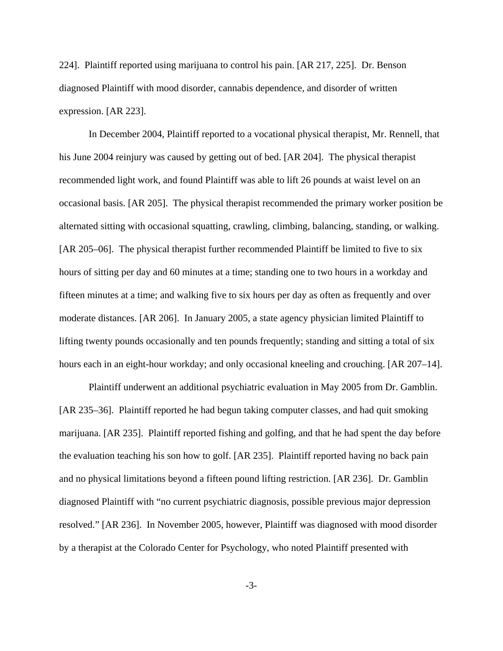224]. Plaintiff reported using marijuana to control his pain. [AR 217, 225]. Dr. Benson diagnosed Plaintiff with mood disorder, cannabis dependence, and disorder of written expression. [AR 223].

In December 2004, Plaintiff reported to a vocational physical therapist, Mr. Rennell, that his June 2004 reinjury was caused by getting out of bed. [AR 204]. The physical therapist recommended light work, and found Plaintiff was able to lift 26 pounds at waist level on an occasional basis. [AR 205]. The physical therapist recommended the primary worker position be alternated sitting with occasional squatting, crawling, climbing, balancing, standing, or walking. [AR 205–06]. The physical therapist further recommended Plaintiff be limited to five to six hours of sitting per day and 60 minutes at a time; standing one to two hours in a workday and fifteen minutes at a time; and walking five to six hours per day as often as frequently and over moderate distances. [AR 206]. In January 2005, a state agency physician limited Plaintiff to lifting twenty pounds occasionally and ten pounds frequently; standing and sitting a total of six hours each in an eight-hour workday; and only occasional kneeling and crouching. [AR 207–14].

Plaintiff underwent an additional psychiatric evaluation in May 2005 from Dr. Gamblin. [AR 235–36]. Plaintiff reported he had begun taking computer classes, and had quit smoking marijuana. [AR 235]. Plaintiff reported fishing and golfing, and that he had spent the day before the evaluation teaching his son how to golf. [AR 235]. Plaintiff reported having no back pain and no physical limitations beyond a fifteen pound lifting restriction. [AR 236]. Dr. Gamblin diagnosed Plaintiff with "no current psychiatric diagnosis, possible previous major depression resolved." [AR 236]. In November 2005, however, Plaintiff was diagnosed with mood disorder by a therapist at the Colorado Center for Psychology, who noted Plaintiff presented with

-3-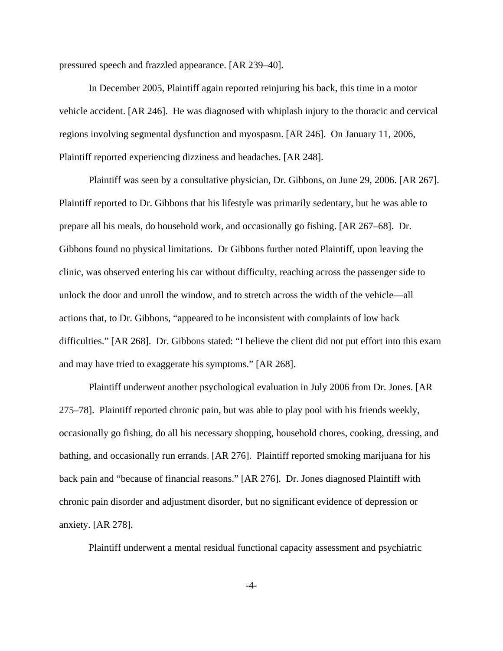pressured speech and frazzled appearance. [AR 239–40].

In December 2005, Plaintiff again reported reinjuring his back, this time in a motor vehicle accident. [AR 246]. He was diagnosed with whiplash injury to the thoracic and cervical regions involving segmental dysfunction and myospasm. [AR 246]. On January 11, 2006, Plaintiff reported experiencing dizziness and headaches. [AR 248].

Plaintiff was seen by a consultative physician, Dr. Gibbons, on June 29, 2006. [AR 267]. Plaintiff reported to Dr. Gibbons that his lifestyle was primarily sedentary, but he was able to prepare all his meals, do household work, and occasionally go fishing. [AR 267–68]. Dr. Gibbons found no physical limitations. Dr Gibbons further noted Plaintiff, upon leaving the clinic, was observed entering his car without difficulty, reaching across the passenger side to unlock the door and unroll the window, and to stretch across the width of the vehicle—all actions that, to Dr. Gibbons, "appeared to be inconsistent with complaints of low back difficulties." [AR 268]. Dr. Gibbons stated: "I believe the client did not put effort into this exam and may have tried to exaggerate his symptoms." [AR 268].

Plaintiff underwent another psychological evaluation in July 2006 from Dr. Jones. [AR 275–78]. Plaintiff reported chronic pain, but was able to play pool with his friends weekly, occasionally go fishing, do all his necessary shopping, household chores, cooking, dressing, and bathing, and occasionally run errands. [AR 276]. Plaintiff reported smoking marijuana for his back pain and "because of financial reasons." [AR 276]. Dr. Jones diagnosed Plaintiff with chronic pain disorder and adjustment disorder, but no significant evidence of depression or anxiety. [AR 278].

Plaintiff underwent a mental residual functional capacity assessment and psychiatric

-4-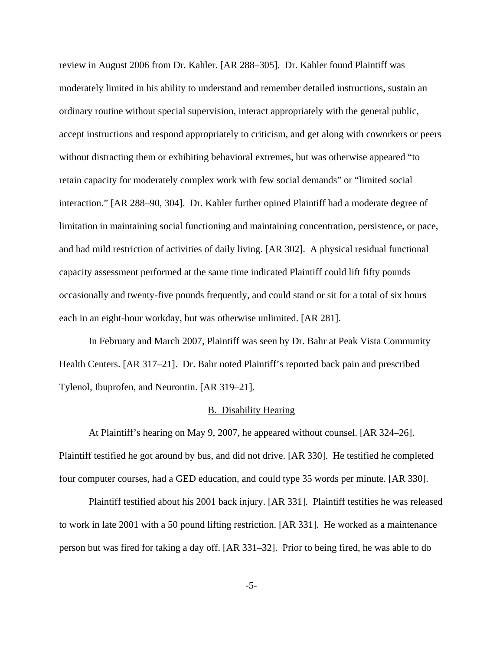review in August 2006 from Dr. Kahler. [AR 288–305]. Dr. Kahler found Plaintiff was moderately limited in his ability to understand and remember detailed instructions, sustain an ordinary routine without special supervision, interact appropriately with the general public, accept instructions and respond appropriately to criticism, and get along with coworkers or peers without distracting them or exhibiting behavioral extremes, but was otherwise appeared "to retain capacity for moderately complex work with few social demands" or "limited social interaction." [AR 288–90, 304]. Dr. Kahler further opined Plaintiff had a moderate degree of limitation in maintaining social functioning and maintaining concentration, persistence, or pace, and had mild restriction of activities of daily living. [AR 302]. A physical residual functional capacity assessment performed at the same time indicated Plaintiff could lift fifty pounds occasionally and twenty-five pounds frequently, and could stand or sit for a total of six hours each in an eight-hour workday, but was otherwise unlimited. [AR 281].

In February and March 2007, Plaintiff was seen by Dr. Bahr at Peak Vista Community Health Centers. [AR 317–21]. Dr. Bahr noted Plaintiff's reported back pain and prescribed Tylenol, Ibuprofen, and Neurontin. [AR 319–21].

#### B. Disability Hearing

At Plaintiff's hearing on May 9, 2007, he appeared without counsel. [AR 324–26]. Plaintiff testified he got around by bus, and did not drive. [AR 330]. He testified he completed four computer courses, had a GED education, and could type 35 words per minute. [AR 330].

Plaintiff testified about his 2001 back injury. [AR 331]. Plaintiff testifies he was released to work in late 2001 with a 50 pound lifting restriction. [AR 331]. He worked as a maintenance person but was fired for taking a day off. [AR 331–32]. Prior to being fired, he was able to do

-5-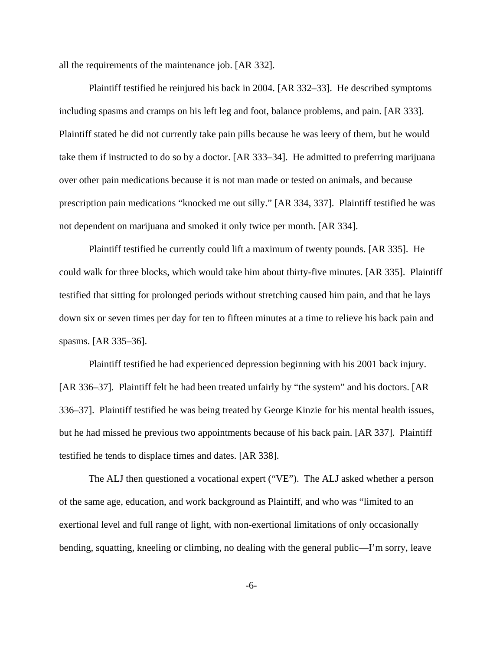all the requirements of the maintenance job. [AR 332].

Plaintiff testified he reinjured his back in 2004. [AR 332–33]. He described symptoms including spasms and cramps on his left leg and foot, balance problems, and pain. [AR 333]. Plaintiff stated he did not currently take pain pills because he was leery of them, but he would take them if instructed to do so by a doctor. [AR 333–34]. He admitted to preferring marijuana over other pain medications because it is not man made or tested on animals, and because prescription pain medications "knocked me out silly." [AR 334, 337]. Plaintiff testified he was not dependent on marijuana and smoked it only twice per month. [AR 334].

Plaintiff testified he currently could lift a maximum of twenty pounds. [AR 335]. He could walk for three blocks, which would take him about thirty-five minutes. [AR 335]. Plaintiff testified that sitting for prolonged periods without stretching caused him pain, and that he lays down six or seven times per day for ten to fifteen minutes at a time to relieve his back pain and spasms. [AR 335–36].

Plaintiff testified he had experienced depression beginning with his 2001 back injury. [AR 336–37]. Plaintiff felt he had been treated unfairly by "the system" and his doctors. [AR 336–37]. Plaintiff testified he was being treated by George Kinzie for his mental health issues, but he had missed he previous two appointments because of his back pain. [AR 337]. Plaintiff testified he tends to displace times and dates. [AR 338].

The ALJ then questioned a vocational expert ("VE"). The ALJ asked whether a person of the same age, education, and work background as Plaintiff, and who was "limited to an exertional level and full range of light, with non-exertional limitations of only occasionally bending, squatting, kneeling or climbing, no dealing with the general public—I'm sorry, leave

-6-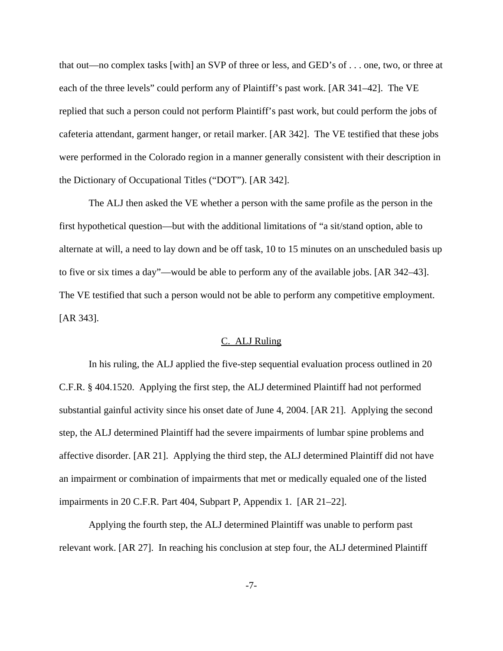that out—no complex tasks [with] an SVP of three or less, and GED's of . . . one, two, or three at each of the three levels" could perform any of Plaintiff's past work. [AR 341–42]. The VE replied that such a person could not perform Plaintiff's past work, but could perform the jobs of cafeteria attendant, garment hanger, or retail marker. [AR 342]. The VE testified that these jobs were performed in the Colorado region in a manner generally consistent with their description in the Dictionary of Occupational Titles ("DOT"). [AR 342].

The ALJ then asked the VE whether a person with the same profile as the person in the first hypothetical question—but with the additional limitations of "a sit/stand option, able to alternate at will, a need to lay down and be off task, 10 to 15 minutes on an unscheduled basis up to five or six times a day"—would be able to perform any of the available jobs. [AR 342–43]. The VE testified that such a person would not be able to perform any competitive employment. [AR 343].

#### C. ALJ Ruling

In his ruling, the ALJ applied the five-step sequential evaluation process outlined in 20 C.F.R. § 404.1520. Applying the first step, the ALJ determined Plaintiff had not performed substantial gainful activity since his onset date of June 4, 2004. [AR 21]. Applying the second step, the ALJ determined Plaintiff had the severe impairments of lumbar spine problems and affective disorder. [AR 21]. Applying the third step, the ALJ determined Plaintiff did not have an impairment or combination of impairments that met or medically equaled one of the listed impairments in 20 C.F.R. Part 404, Subpart P, Appendix 1. [AR 21–22].

Applying the fourth step, the ALJ determined Plaintiff was unable to perform past relevant work. [AR 27]. In reaching his conclusion at step four, the ALJ determined Plaintiff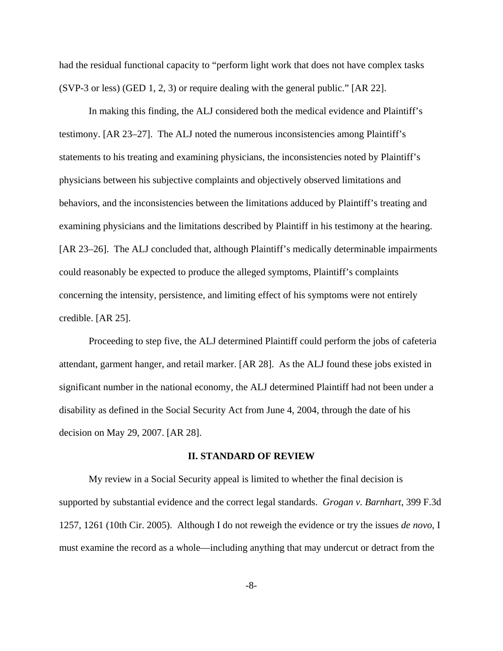had the residual functional capacity to "perform light work that does not have complex tasks (SVP-3 or less) (GED 1, 2, 3) or require dealing with the general public." [AR 22].

In making this finding, the ALJ considered both the medical evidence and Plaintiff's testimony. [AR 23–27]. The ALJ noted the numerous inconsistencies among Plaintiff's statements to his treating and examining physicians, the inconsistencies noted by Plaintiff's physicians between his subjective complaints and objectively observed limitations and behaviors, and the inconsistencies between the limitations adduced by Plaintiff's treating and examining physicians and the limitations described by Plaintiff in his testimony at the hearing. [AR 23–26]. The ALJ concluded that, although Plaintiff's medically determinable impairments could reasonably be expected to produce the alleged symptoms, Plaintiff's complaints concerning the intensity, persistence, and limiting effect of his symptoms were not entirely credible. [AR 25].

Proceeding to step five, the ALJ determined Plaintiff could perform the jobs of cafeteria attendant, garment hanger, and retail marker. [AR 28]. As the ALJ found these jobs existed in significant number in the national economy, the ALJ determined Plaintiff had not been under a disability as defined in the Social Security Act from June 4, 2004, through the date of his decision on May 29, 2007. [AR 28].

#### **II. STANDARD OF REVIEW**

My review in a Social Security appeal is limited to whether the final decision is supported by substantial evidence and the correct legal standards. *Grogan v. Barnhart*, 399 F.3d 1257, 1261 (10th Cir. 2005). Although I do not reweigh the evidence or try the issues *de novo*, I must examine the record as a whole—including anything that may undercut or detract from the

-8-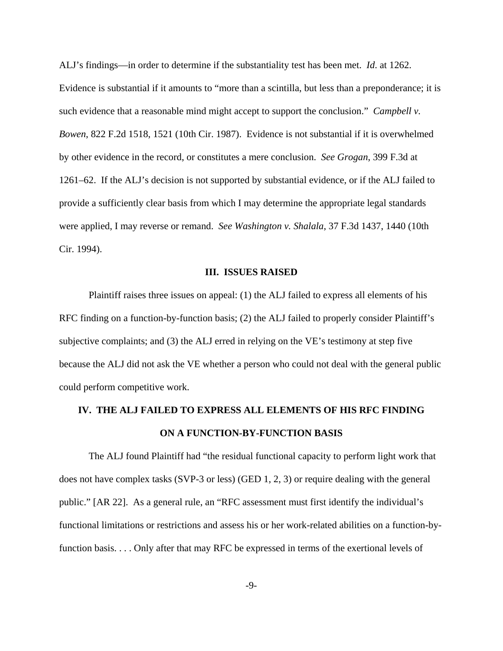ALJ's findings—in order to determine if the substantiality test has been met. *Id*. at 1262. Evidence is substantial if it amounts to "more than a scintilla, but less than a preponderance; it is such evidence that a reasonable mind might accept to support the conclusion." *Campbell v. Bowen*, 822 F.2d 1518, 1521 (10th Cir. 1987). Evidence is not substantial if it is overwhelmed by other evidence in the record, or constitutes a mere conclusion. *See Grogan*, 399 F.3d at 1261–62. If the ALJ's decision is not supported by substantial evidence, or if the ALJ failed to provide a sufficiently clear basis from which I may determine the appropriate legal standards were applied, I may reverse or remand. *See Washington v. Shalala*, 37 F.3d 1437, 1440 (10th Cir. 1994).

#### **III. ISSUES RAISED**

Plaintiff raises three issues on appeal: (1) the ALJ failed to express all elements of his RFC finding on a function-by-function basis; (2) the ALJ failed to properly consider Plaintiff's subjective complaints; and (3) the ALJ erred in relying on the VE's testimony at step five because the ALJ did not ask the VE whether a person who could not deal with the general public could perform competitive work.

# **IV. THE ALJ FAILED TO EXPRESS ALL ELEMENTS OF HIS RFC FINDING ON A FUNCTION-BY-FUNCTION BASIS**

The ALJ found Plaintiff had "the residual functional capacity to perform light work that does not have complex tasks (SVP-3 or less) (GED 1, 2, 3) or require dealing with the general public." [AR 22]. As a general rule, an "RFC assessment must first identify the individual's functional limitations or restrictions and assess his or her work-related abilities on a function-byfunction basis. . . . Only after that may RFC be expressed in terms of the exertional levels of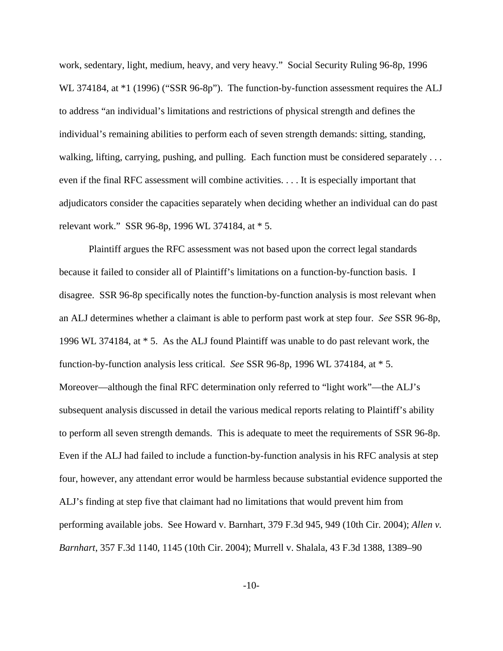work, sedentary, light, medium, heavy, and very heavy." Social Security Ruling 96-8p, 1996 WL 374184, at  $*1$  (1996) ("SSR 96-8p"). The function-by-function assessment requires the ALJ to address "an individual's limitations and restrictions of physical strength and defines the individual's remaining abilities to perform each of seven strength demands: sitting, standing, walking, lifting, carrying, pushing, and pulling. Each function must be considered separately . . . even if the final RFC assessment will combine activities. . . . It is especially important that adjudicators consider the capacities separately when deciding whether an individual can do past relevant work." SSR 96-8p, 1996 WL 374184, at \* 5.

Plaintiff argues the RFC assessment was not based upon the correct legal standards because it failed to consider all of Plaintiff's limitations on a function-by-function basis. I disagree. SSR 96-8p specifically notes the function-by-function analysis is most relevant when an ALJ determines whether a claimant is able to perform past work at step four. *See* SSR 96-8p, 1996 WL 374184, at \* 5. As the ALJ found Plaintiff was unable to do past relevant work, the function-by-function analysis less critical. *See* SSR 96-8p, 1996 WL 374184, at \* 5. Moreover—although the final RFC determination only referred to "light work"—the ALJ's subsequent analysis discussed in detail the various medical reports relating to Plaintiff's ability to perform all seven strength demands. This is adequate to meet the requirements of SSR 96-8p. Even if the ALJ had failed to include a function-by-function analysis in his RFC analysis at step four, however, any attendant error would be harmless because substantial evidence supported the ALJ's finding at step five that claimant had no limitations that would prevent him from performing available jobs. See Howard v. Barnhart, 379 F.3d 945, 949 (10th Cir. 2004); *Allen v. Barnhart*, 357 F.3d 1140, 1145 (10th Cir. 2004); Murrell v. Shalala, 43 F.3d 1388, 1389–90

-10-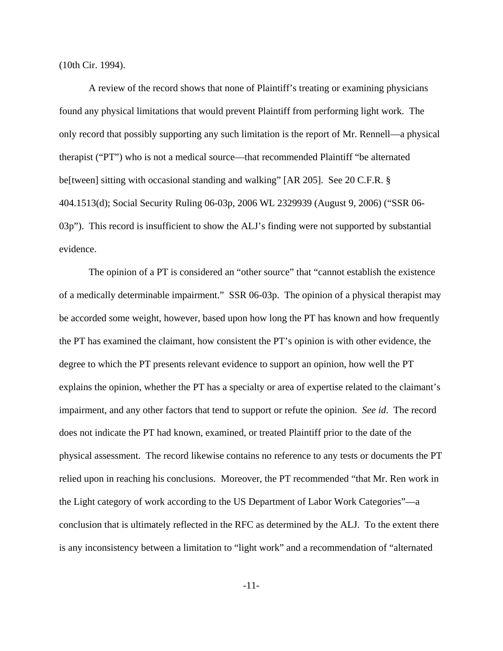(10th Cir. 1994).

A review of the record shows that none of Plaintiff's treating or examining physicians found any physical limitations that would prevent Plaintiff from performing light work. The only record that possibly supporting any such limitation is the report of Mr. Rennell—a physical therapist ("PT") who is not a medical source—that recommended Plaintiff "be alternated be[tween] sitting with occasional standing and walking" [AR 205]. See 20 C.F.R. § 404.1513(d); Social Security Ruling 06-03p, 2006 WL 2329939 (August 9, 2006) ("SSR 06- 03p"). This record is insufficient to show the ALJ's finding were not supported by substantial evidence.

The opinion of a PT is considered an "other source" that "cannot establish the existence of a medically determinable impairment." SSR 06-03p. The opinion of a physical therapist may be accorded some weight, however, based upon how long the PT has known and how frequently the PT has examined the claimant, how consistent the PT's opinion is with other evidence, the degree to which the PT presents relevant evidence to support an opinion, how well the PT explains the opinion, whether the PT has a specialty or area of expertise related to the claimant's impairment, and any other factors that tend to support or refute the opinion. *See id*. The record does not indicate the PT had known, examined, or treated Plaintiff prior to the date of the physical assessment. The record likewise contains no reference to any tests or documents the PT relied upon in reaching his conclusions. Moreover, the PT recommended "that Mr. Ren work in the Light category of work according to the US Department of Labor Work Categories"—a conclusion that is ultimately reflected in the RFC as determined by the ALJ. To the extent there is any inconsistency between a limitation to "light work" and a recommendation of "alternated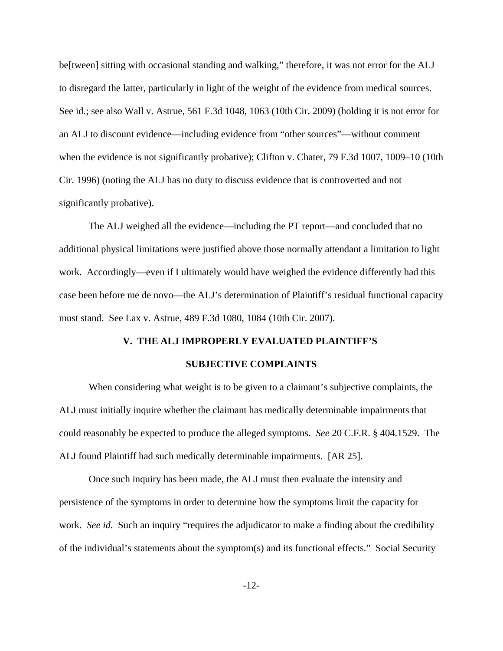be[tween] sitting with occasional standing and walking," therefore, it was not error for the ALJ to disregard the latter, particularly in light of the weight of the evidence from medical sources. See id.; see also Wall v. Astrue, 561 F.3d 1048, 1063 (10th Cir. 2009) (holding it is not error for an ALJ to discount evidence—including evidence from "other sources"—without comment when the evidence is not significantly probative); Clifton v. Chater, 79 F.3d 1007, 1009–10 (10th Cir. 1996) (noting the ALJ has no duty to discuss evidence that is controverted and not significantly probative).

The ALJ weighed all the evidence—including the PT report—and concluded that no additional physical limitations were justified above those normally attendant a limitation to light work. Accordingly—even if I ultimately would have weighed the evidence differently had this case been before me de novo—the ALJ's determination of Plaintiff's residual functional capacity must stand. See Lax v. Astrue, 489 F.3d 1080, 1084 (10th Cir. 2007).

### **V. THE ALJ IMPROPERLY EVALUATED PLAINTIFF'S**

### **SUBJECTIVE COMPLAINTS**

When considering what weight is to be given to a claimant's subjective complaints, the ALJ must initially inquire whether the claimant has medically determinable impairments that could reasonably be expected to produce the alleged symptoms. *See* 20 C.F.R. § 404.1529. The ALJ found Plaintiff had such medically determinable impairments. [AR 25].

Once such inquiry has been made, the ALJ must then evaluate the intensity and persistence of the symptoms in order to determine how the symptoms limit the capacity for work. *See id.* Such an inquiry "requires the adjudicator to make a finding about the credibility of the individual's statements about the symptom(s) and its functional effects." Social Security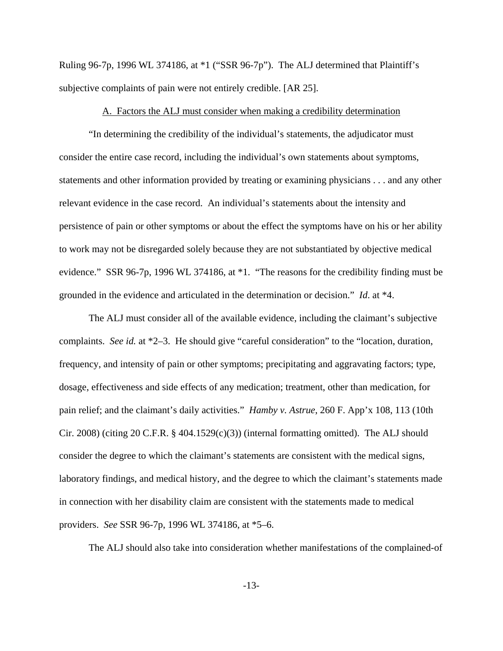Ruling 96-7p, 1996 WL 374186, at \*1 ("SSR 96-7p"). The ALJ determined that Plaintiff's subjective complaints of pain were not entirely credible. [AR 25].

#### A. Factors the ALJ must consider when making a credibility determination

"In determining the credibility of the individual's statements, the adjudicator must consider the entire case record, including the individual's own statements about symptoms, statements and other information provided by treating or examining physicians . . . and any other relevant evidence in the case record. An individual's statements about the intensity and persistence of pain or other symptoms or about the effect the symptoms have on his or her ability to work may not be disregarded solely because they are not substantiated by objective medical evidence." SSR 96-7p, 1996 WL 374186, at \*1. "The reasons for the credibility finding must be grounded in the evidence and articulated in the determination or decision." *Id*. at \*4.

The ALJ must consider all of the available evidence, including the claimant's subjective complaints. *See id.* at \*2–3. He should give "careful consideration" to the "location, duration, frequency, and intensity of pain or other symptoms; precipitating and aggravating factors; type, dosage, effectiveness and side effects of any medication; treatment, other than medication, for pain relief; and the claimant's daily activities." *Hamby v. Astrue*, 260 F. App'x 108, 113 (10th Cir. 2008) (citing 20 C.F.R. § 404.1529 $(c)(3)$ ) (internal formatting omitted). The ALJ should consider the degree to which the claimant's statements are consistent with the medical signs, laboratory findings, and medical history, and the degree to which the claimant's statements made in connection with her disability claim are consistent with the statements made to medical providers. *See* SSR 96-7p, 1996 WL 374186, at \*5–6.

The ALJ should also take into consideration whether manifestations of the complained-of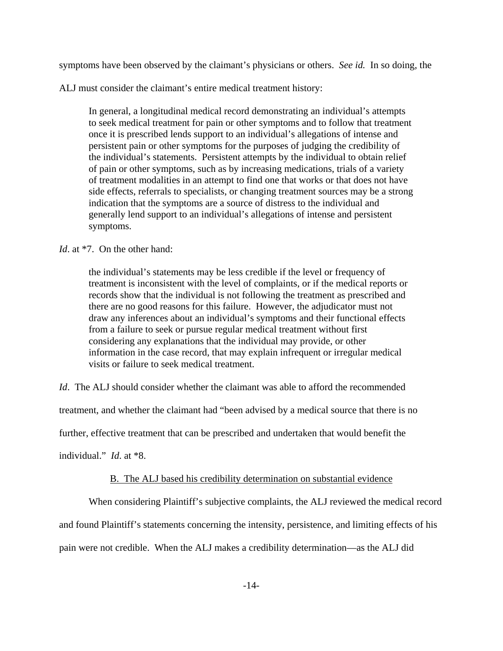symptoms have been observed by the claimant's physicians or others. *See id.* In so doing, the

ALJ must consider the claimant's entire medical treatment history:

In general, a longitudinal medical record demonstrating an individual's attempts to seek medical treatment for pain or other symptoms and to follow that treatment once it is prescribed lends support to an individual's allegations of intense and persistent pain or other symptoms for the purposes of judging the credibility of the individual's statements. Persistent attempts by the individual to obtain relief of pain or other symptoms, such as by increasing medications, trials of a variety of treatment modalities in an attempt to find one that works or that does not have side effects, referrals to specialists, or changing treatment sources may be a strong indication that the symptoms are a source of distress to the individual and generally lend support to an individual's allegations of intense and persistent symptoms.

# *Id.* at  $*7$ . On the other hand:

the individual's statements may be less credible if the level or frequency of treatment is inconsistent with the level of complaints, or if the medical reports or records show that the individual is not following the treatment as prescribed and there are no good reasons for this failure. However, the adjudicator must not draw any inferences about an individual's symptoms and their functional effects from a failure to seek or pursue regular medical treatment without first considering any explanations that the individual may provide, or other information in the case record, that may explain infrequent or irregular medical visits or failure to seek medical treatment.

*Id*. The ALJ should consider whether the claimant was able to afford the recommended

treatment, and whether the claimant had "been advised by a medical source that there is no

further, effective treatment that can be prescribed and undertaken that would benefit the

individual." *Id*. at \*8.

## B. The ALJ based his credibility determination on substantial evidence

When considering Plaintiff's subjective complaints, the ALJ reviewed the medical record and found Plaintiff's statements concerning the intensity, persistence, and limiting effects of his pain were not credible. When the ALJ makes a credibility determination—as the ALJ did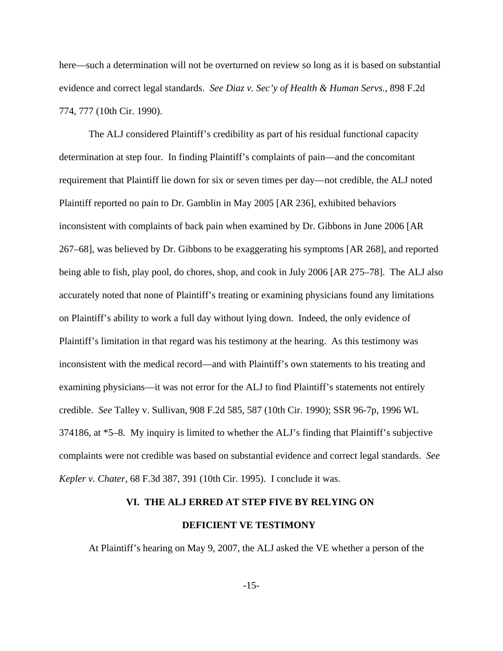here—such a determination will not be overturned on review so long as it is based on substantial evidence and correct legal standards. *See Diaz v. Sec'y of Health & Human Servs.*, 898 F.2d 774, 777 (10th Cir. 1990).

The ALJ considered Plaintiff's credibility as part of his residual functional capacity determination at step four. In finding Plaintiff's complaints of pain—and the concomitant requirement that Plaintiff lie down for six or seven times per day—not credible, the ALJ noted Plaintiff reported no pain to Dr. Gamblin in May 2005 [AR 236], exhibited behaviors inconsistent with complaints of back pain when examined by Dr. Gibbons in June 2006 [AR 267–68], was believed by Dr. Gibbons to be exaggerating his symptoms [AR 268], and reported being able to fish, play pool, do chores, shop, and cook in July 2006 [AR 275–78]. The ALJ also accurately noted that none of Plaintiff's treating or examining physicians found any limitations on Plaintiff's ability to work a full day without lying down. Indeed, the only evidence of Plaintiff's limitation in that regard was his testimony at the hearing. As this testimony was inconsistent with the medical record—and with Plaintiff's own statements to his treating and examining physicians—it was not error for the ALJ to find Plaintiff's statements not entirely credible. *See* Talley v. Sullivan, 908 F.2d 585, 587 (10th Cir. 1990); SSR 96-7p, 1996 WL 374186, at \*5–8. My inquiry is limited to whether the ALJ's finding that Plaintiff's subjective complaints were not credible was based on substantial evidence and correct legal standards. *See Kepler v. Chater*, 68 F.3d 387, 391 (10th Cir. 1995). I conclude it was.

# **VI. THE ALJ ERRED AT STEP FIVE BY RELYING ON**

## **DEFICIENT VE TESTIMONY**

At Plaintiff's hearing on May 9, 2007, the ALJ asked the VE whether a person of the

-15-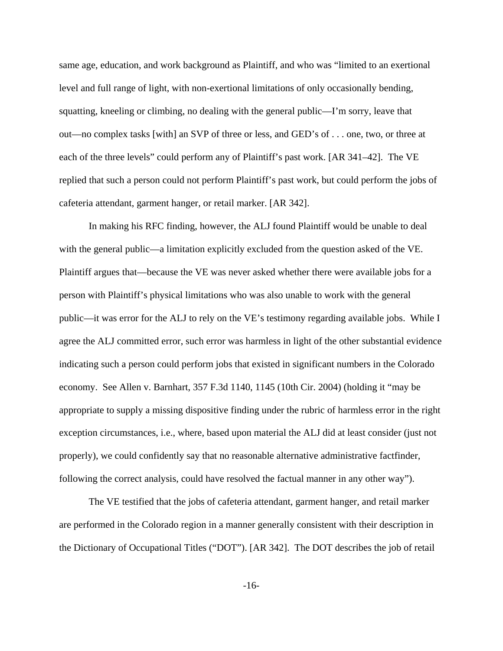same age, education, and work background as Plaintiff, and who was "limited to an exertional level and full range of light, with non-exertional limitations of only occasionally bending, squatting, kneeling or climbing, no dealing with the general public—I'm sorry, leave that out—no complex tasks [with] an SVP of three or less, and GED's of . . . one, two, or three at each of the three levels" could perform any of Plaintiff's past work. [AR 341–42]. The VE replied that such a person could not perform Plaintiff's past work, but could perform the jobs of cafeteria attendant, garment hanger, or retail marker. [AR 342].

In making his RFC finding, however, the ALJ found Plaintiff would be unable to deal with the general public—a limitation explicitly excluded from the question asked of the VE. Plaintiff argues that—because the VE was never asked whether there were available jobs for a person with Plaintiff's physical limitations who was also unable to work with the general public—it was error for the ALJ to rely on the VE's testimony regarding available jobs. While I agree the ALJ committed error, such error was harmless in light of the other substantial evidence indicating such a person could perform jobs that existed in significant numbers in the Colorado economy. See Allen v. Barnhart, 357 F.3d 1140, 1145 (10th Cir. 2004) (holding it "may be appropriate to supply a missing dispositive finding under the rubric of harmless error in the right exception circumstances, i.e., where, based upon material the ALJ did at least consider (just not properly), we could confidently say that no reasonable alternative administrative factfinder, following the correct analysis, could have resolved the factual manner in any other way").

The VE testified that the jobs of cafeteria attendant, garment hanger, and retail marker are performed in the Colorado region in a manner generally consistent with their description in the Dictionary of Occupational Titles ("DOT"). [AR 342]. The DOT describes the job of retail

-16-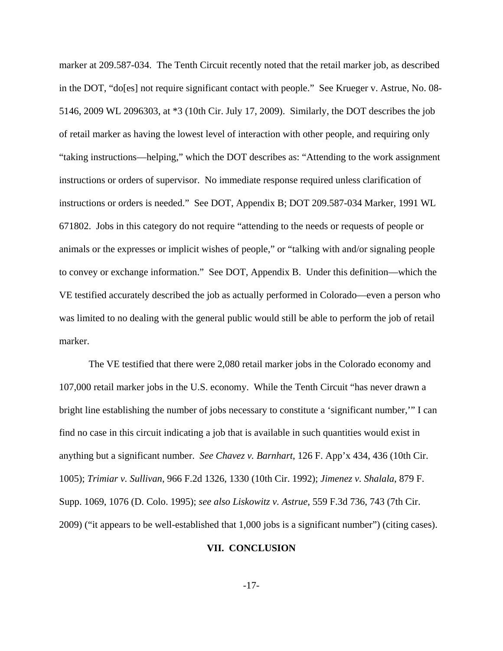marker at 209.587-034. The Tenth Circuit recently noted that the retail marker job, as described in the DOT, "do[es] not require significant contact with people." See Krueger v. Astrue, No. 08- 5146, 2009 WL 2096303, at \*3 (10th Cir. July 17, 2009). Similarly, the DOT describes the job of retail marker as having the lowest level of interaction with other people, and requiring only "taking instructions—helping," which the DOT describes as: "Attending to the work assignment instructions or orders of supervisor. No immediate response required unless clarification of instructions or orders is needed." See DOT, Appendix B; DOT 209.587-034 Marker, 1991 WL 671802. Jobs in this category do not require "attending to the needs or requests of people or animals or the expresses or implicit wishes of people," or "talking with and/or signaling people to convey or exchange information." See DOT, Appendix B. Under this definition—which the VE testified accurately described the job as actually performed in Colorado—even a person who was limited to no dealing with the general public would still be able to perform the job of retail marker.

The VE testified that there were 2,080 retail marker jobs in the Colorado economy and 107,000 retail marker jobs in the U.S. economy. While the Tenth Circuit "has never drawn a bright line establishing the number of jobs necessary to constitute a 'significant number,'" I can find no case in this circuit indicating a job that is available in such quantities would exist in anything but a significant number. *See Chavez v. Barnhart*, 126 F. App'x 434, 436 (10th Cir. 1005); *Trimiar v. Sullivan*, 966 F.2d 1326, 1330 (10th Cir. 1992); *Jimenez v. Shalala*, 879 F. Supp. 1069, 1076 (D. Colo. 1995); *see also Liskowitz v. Astrue*, 559 F.3d 736, 743 (7th Cir. 2009) ("it appears to be well-established that 1,000 jobs is a significant number") (citing cases).

# **VII. CONCLUSION**

-17-